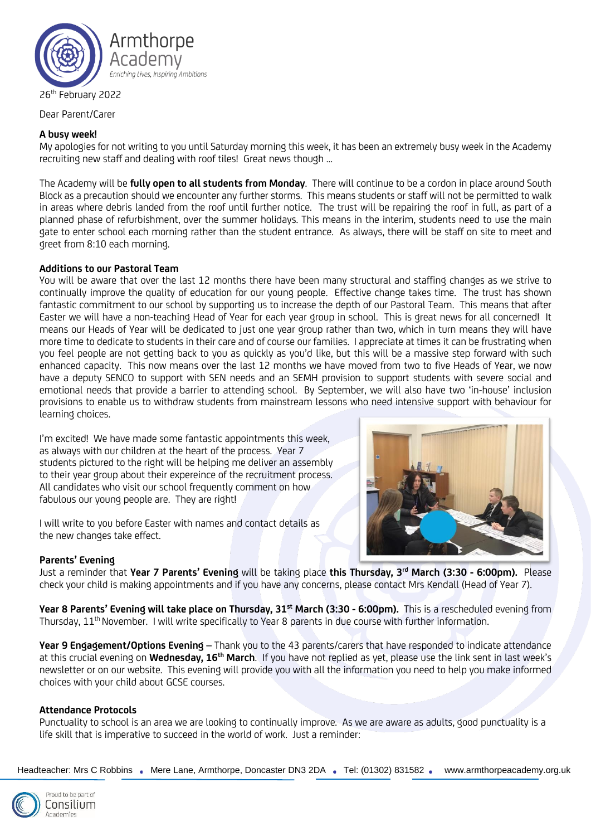

26<sup>th</sup> February 2022

Dear Parent/Carer

## **A busy week!**

My apologies for not writing to you until Saturday morning this week, it has been an extremely busy week in the Academy recruiting new staff and dealing with roof tiles! Great news though …

The Academy will be **fully open to all students from Monday**. There will continue to be a cordon in place around South Block as a precaution should we encounter any further storms. This means students or staff will not be permitted to walk in areas where debris landed from the roof until further notice. The trust will be repairing the roof in full, as part of a planned phase of refurbishment, over the summer holidays. This means in the interim, students need to use the main gate to enter school each morning rather than the student entrance. As always, there will be staff on site to meet and greet from 8:10 each morning.

## **Additions to our Pastoral Team**

You will be aware that over the last 12 months there have been many structural and staffing changes as we strive to continually improve the quality of education for our young people. Effective change takes time. The trust has shown fantastic commitment to our school by supporting us to increase the depth of our Pastoral Team. This means that after Easter we will have a non-teaching Head of Year for each year group in school. This is great news for all concerned! It means our Heads of Year will be dedicated to just one year group rather than two, which in turn means they will have more time to dedicate to students in their care and of course our families. I appreciate at times it can be frustrating when you feel people are not getting back to you as quickly as you'd like, but this will be a massive step forward with such enhanced capacity. This now means over the last 12 months we have moved from two to five Heads of Year, we now have a deputy SENCO to support with SEN needs and an SEMH provision to support students with severe social and emotional needs that provide a barrier to attending school. By September, we will also have two 'in-house' inclusion provisions to enable us to withdraw students from mainstream lessons who need intensive support with behaviour for learning choices.

I'm excited! We have made some fantastic appointments this week, as always with our children at the heart of the process. Year 7 students pictured to the right will be helping me deliver an assembly to their year group about their expereince of the recruitment process. All candidates who visit our school frequently comment on how fabulous our young people are. They are right!

I will write to you before Easter with names and contact details as the new changes take effect.

#### **Parents' Evening**

Just a reminder that **Year 7 Parents' Evening** will be taking place **this Thursday, 3 rd March (3:30 - 6:00pm).** Please check your child is making appointments and if you have any concerns, please contact Mrs Kendall (Head of Year 7).

**Year 8 Parents' Evening will take place on Thursday, 31st March (3:30 - 6:00pm).** This is a rescheduled evening from Thursday, 11<sup>th</sup> November. I will write specifically to Year 8 parents in due course with further information.

**Year 9 Engagement/Options Evening** – Thank you to the 43 parents/carers that have responded to indicate attendance at this crucial evening on **Wednesday, 16th March**. If you have not replied as yet, please use the link sent in last week's newsletter or on our website. This evening will provide you with all the information you need to help you make informed choices with your child about GCSE courses.

# **Attendance Protocols**

Punctuality to school is an area we are looking to continually improve. As we are aware as adults, good punctuality is a life skill that is imperative to succeed in the world of work. Just a reminder:

Headteacher: Mrs C Robbins . Mere Lane, Armthorpe, Doncaster DN3 2DA . Tel: (01302) 831582 . www.armthorpeacademy.org.uk



roud to be part of Consilium Academies